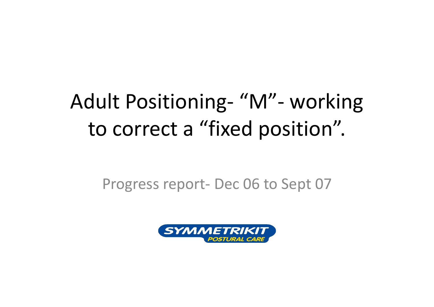## Adult Positioning‐ "M"‐ working to correct a "fixed position".

Progress report‐ Dec 06 to Sept 07

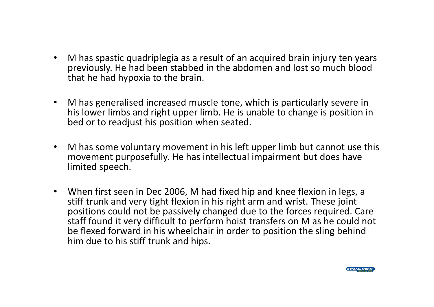- $\bullet$  M has spastic quadriplegia as a result of an acquired brain injury ten years previously. He had been stabbed in the abdomen and lost so much blood that he had hypoxia to the brain.
- $\bullet$  M has generalised increased muscle tone, which is particularly severe in his lower limbs and right upper limb. He is unable to change is position in bed or to readjust his position when seated.
- $\bullet$  M has some voluntary movement in his left upper limb but cannot use this movement purposefully. He has intellectual impairment but does have limited speech.
- When first seen in Dec 2006, M had fixed hip and knee flexion in legs, a stiff trunk and very tight flexion in his right arm and wrist. These joint positions could not be passively changed due to the forces required. Care staff found it very difficult to perform hoist transfers on M as he could not be flexed forward in his wheelchair in order to position the sling behind him due to his stiff trunk and hips.

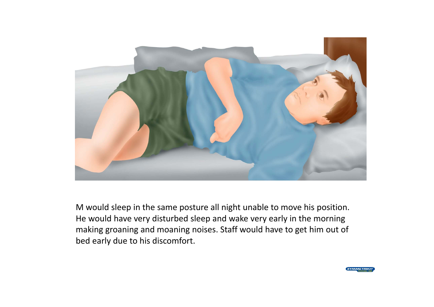

M would sleep in the same posture all night unable to move his position. He would have very disturbed sleep and wake very early in the morning making groaning and moaning noises. Staff would have to get him out of bed early due to his discomfort.

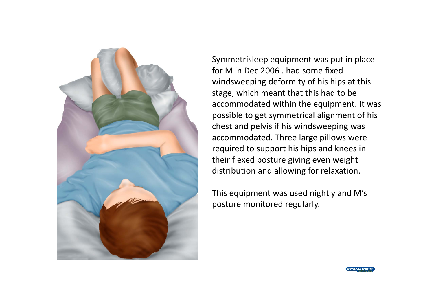

Symmetrisleep equipment was put in place for M in Dec 2006 . had some fixed windsweeping deformity of his hips at this stage, which meant that this had to be accommodated within the equipment. It was possible to get symmetrical alignment of his chest and pelvis if his windsweeping was accommodated. Three large pillows were required to support his hips and knees in their flexed posture giving even weight distribution and allowing for relaxation.

This equipment was used nightly and M's posture monitored regularly.

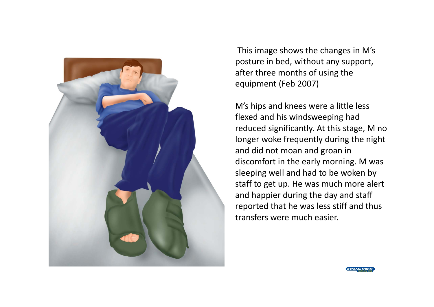

This image shows the changes in M's posture in bed, without any support, after three months of using the equipment (Feb 2007)

M's hips and knees were a little less flexed and his windsweeping had reduced significantly. At this stage, M no longer woke frequently during the night and did not moan and groan in discomfort in the early morning. M was sleeping well and had to be woken by staff to get up. He was much more alert and happier during the day and staff reported that he was less stiff and thus transfers were much easier.

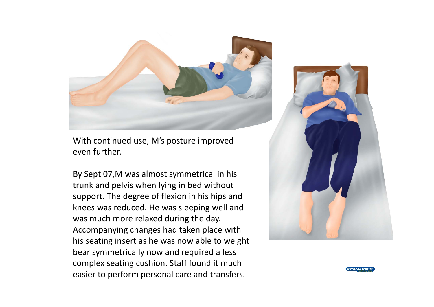

With continued use, M's posture improved even further.

By Sept 07,M was almost symmetrical in his trunk and pelvis when lying in bed without support. The degree of flexion in his hips and knees was reduced. He was sleeping well and was much more relaxed during the day. Accompanying changes had taken place with his seating insert as he was now able to weight bear symmetrically now and required a less complex seating cushion. Staff found it much easier to perform personal care and transfers.